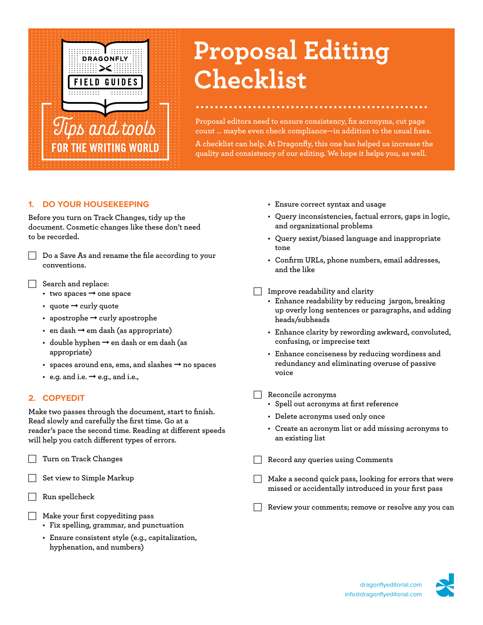

# **Proposal Editing Checklist**

**Proposal editors need to ensure consistency, fix acronyms, cut page count … maybe even check compliance—in addition to the usual fixes.**

**A checklist can help. At Dragonfly, this one has helped us increase the quality and consistency of our editing. We hope it helps you, as well.**

## **1. DO YOUR HOUSEKEEPING**

**Before you turn on Track Changes, tidy up the document. Cosmetic changes like these don't need to be recorded.** 

F **Do a Save As and rename the file according to your conventions.**

F **Search and replace:**

- **• two spaces** ➞ **one space**
- **• quote** ➞ **curly quote**
- **• apostrophe** ➞ **curly apostrophe**
- **• en dash** ➞ **em dash (as appropriate)**
- **• double hyphen** ➞ **en dash or em dash (as appropriate)**
- **• spaces around ens, ems, and slashes** ➞ **no spaces**
- **• e.g. and i.e.** ➞ **e.g., and i.e.,**

#### **2. COPYEDIT**

**Make two passes through the document, start to finish. Read slowly and carefully the first time. Go at a reader's pace the second time. Reading at different speeds will help you catch different types of errors.**

F **Turn on Track Changes**

Set view to Simple Markup

- F **Run spellcheck**
- F **Make your first copyediting pass**
	- **• Fix spelling, grammar, and punctuation**
	- **• Ensure consistent style (e.g., capitalization, hyphenation, and numbers)**
- **• Ensure correct syntax and usage**
- **• Query inconsistencies, factual errors, gaps in logic, and organizational problems**
- **• Query sexist/biased language and inappropriate tone**
- **• Confirm URLs, phone numbers, email addresses, and the like**
- F **Improve readability and clarity**
	- **• Enhance readability by reducing jargon, breaking up overly long sentences or paragraphs, and adding heads/subheads**
	- **• Enhance clarity by rewording awkward, convoluted, confusing, or imprecise text**
	- **• Enhance conciseness by reducing wordiness and redundancy and eliminating overuse of passive voice**
- F **Reconcile acronyms**
	- **• Spell out acronyms at first reference**
	- **• Delete acronyms used only once**
	- **• Create an acronym list or add missing acronyms to an existing list**
	- F **Record any queries using Comments**
- **F** Make a second quick pass, looking for errors that were **missed or accidentally introduced in your first pass**
	- F **Review your comments; remove or resolve any you can**